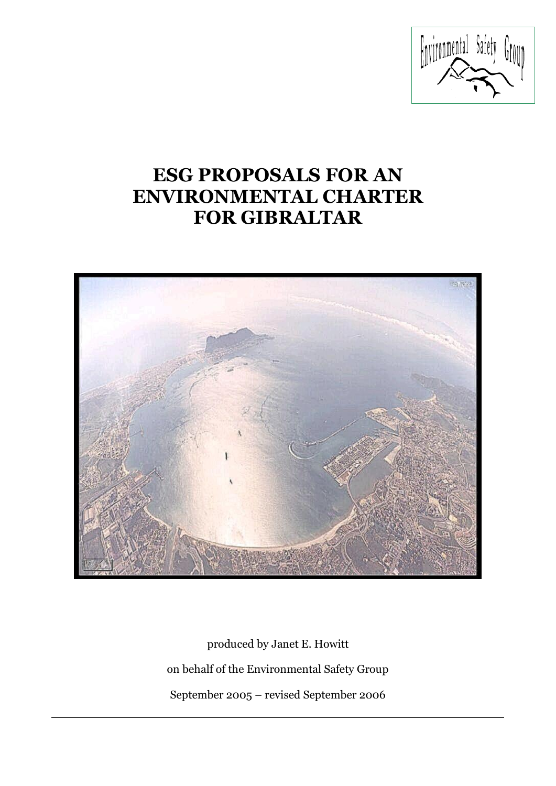

# **ESG PROPOSALS FOR AN ENVIRONMENTAL CHARTER FOR GIBRALTAR**



produced by Janet E. Howitt on behalf of the Environmental Safety Group September 2005 – revised September 2006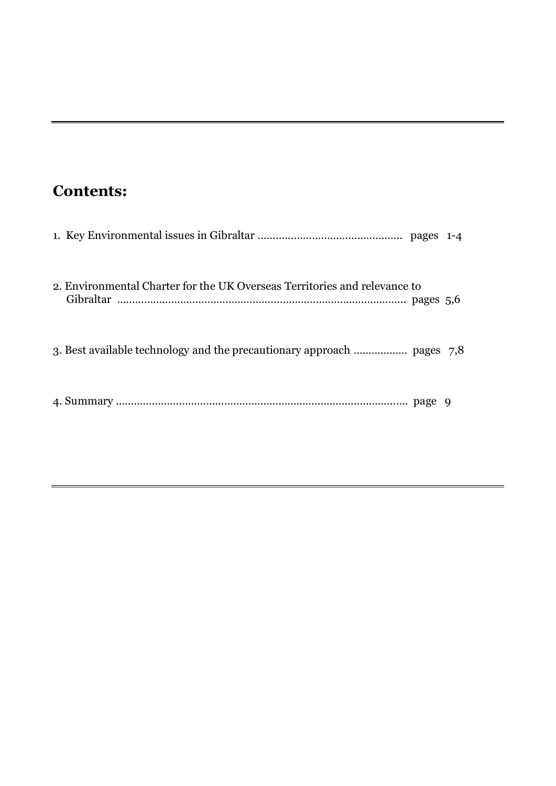# **Contents:**

| 2. Environmental Charter for the UK Overseas Territories and relevance to |  |
|---------------------------------------------------------------------------|--|
|                                                                           |  |
|                                                                           |  |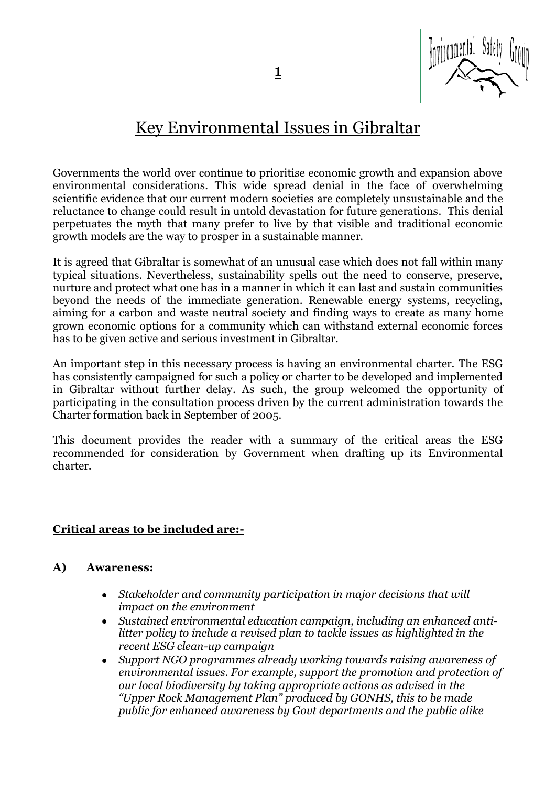# Key Environmental Issues in Gibraltar

Governments the world over continue to prioritise economic growth and expansion above environmental considerations. This wide spread denial in the face of overwhelming scientific evidence that our current modern societies are completely unsustainable and the reluctance to change could result in untold devastation for future generations. This denial perpetuates the myth that many prefer to live by that visible and traditional economic growth models are the way to prosper in a sustainable manner.

It is agreed that Gibraltar is somewhat of an unusual case which does not fall within many typical situations. Nevertheless, sustainability spells out the need to conserve, preserve, nurture and protect what one has in a manner in which it can last and sustain communities beyond the needs of the immediate generation. Renewable energy systems, recycling, aiming for a carbon and waste neutral society and finding ways to create as many home grown economic options for a community which can withstand external economic forces has to be given active and serious investment in Gibraltar.

An important step in this necessary process is having an environmental charter. The ESG has consistently campaigned for such a policy or charter to be developed and implemented in Gibraltar without further delay. As such, the group welcomed the opportunity of participating in the consultation process driven by the current administration towards the Charter formation back in September of 2005.

This document provides the reader with a summary of the critical areas the ESG recommended for consideration by Government when drafting up its Environmental charter.

### **Critical areas to be included are:-**

### **A) Awareness:**

- *Stakeholder and community participation in major decisions that will*   $\bullet$ *impact on the environment*
- *Sustained environmental education campaign, including an enhanced antilitter policy to include a revised plan to tackle issues as highlighted in the recent ESG clean-up campaign*
- *Support NGO programmes already working towards raising awareness of environmental issues. For example, support the promotion and protection of our local biodiversity by taking appropriate actions as advised in the "Upper Rock Management Plan" produced by GONHS, this to be made public for enhanced awareness by Govt departments and the public alike*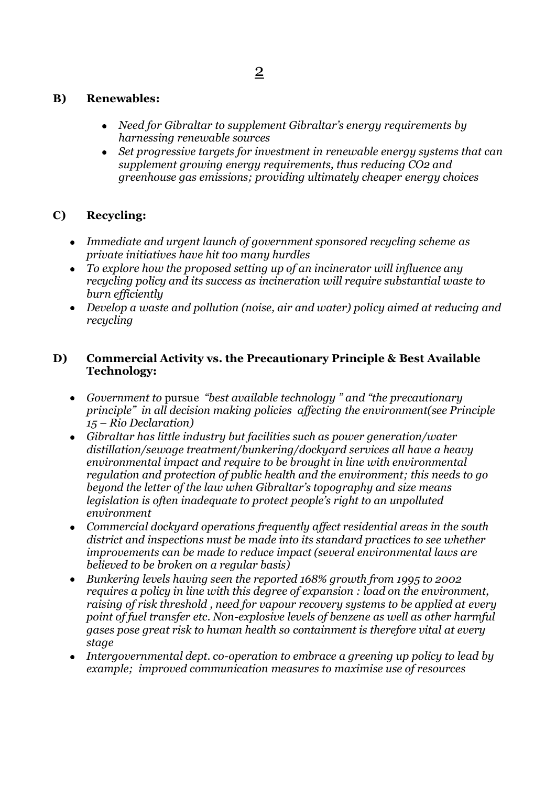### **B) Renewables:**

- *Need for Gibraltar to supplement Gibraltar's energy requirements by harnessing renewable sources*
- *Set progressive targets for investment in renewable energy systems that can supplement growing energy requirements, thus reducing CO2 and greenhouse gas emissions; providing ultimately cheaper energy choices*

### **C) Recycling:**

- *Immediate and urgent launch of government sponsored recycling scheme as private initiatives have hit too many hurdles*
- *To explore how the proposed setting up of an incinerator will influence any recycling policy and its success as incineration will require substantial waste to burn efficiently*
- *Develop a waste and pollution (noise, air and water) policy aimed at reducing and recycling*

### **D) Commercial Activity vs. the Precautionary Principle & Best Available Technology:**

- *Government to* pursue *"best available technology " and "the precautionary principle" in all decision making policies affecting the environment(see Principle 15 – Rio Declaration)*
- *Gibraltar has little industry but facilities such as power generation/water distillation/sewage treatment/bunkering/dockyard services all have a heavy environmental impact and require to be brought in line with environmental regulation and protection of public health and the environment; this needs to go beyond the letter of the law when Gibraltar's topography and size means legislation is often inadequate to protect people's right to an unpolluted environment*
- *Commercial dockyard operations frequently affect residential areas in the south*   $\bullet$ *district and inspections must be made into its standard practices to see whether improvements can be made to reduce impact (several environmental laws are believed to be broken on a regular basis)*
- *Bunkering levels having seen the reported 168% growth from 1995 to 2002*   $\bullet$ *requires a policy in line with this degree of expansion : load on the environment, raising of risk threshold , need for vapour recovery systems to be applied at every point of fuel transfer etc. Non-explosive levels of benzene as well as other harmful gases pose great risk to human health so containment is therefore vital at every stage*
- *Intergovernmental dept. co-operation to embrace a greening up policy to lead by example; improved communication measures to maximise use of resources*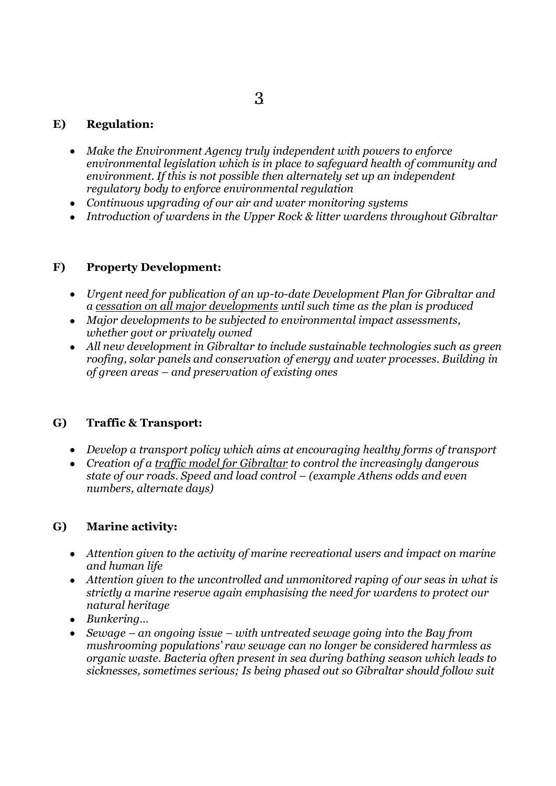## 3

#### **E) Regulation:**

- *Make the Environment Agency truly independent with powers to enforce environmental legislation which is in place to safeguard health of community and environment. If this is not possible then alternately set up an independent regulatory body to enforce environmental regulation*
- *Continuous upgrading of our air and water monitoring systems*
- *Introduction of wardens in the Upper Rock & litter wardens throughout Gibraltar*

### **F) Property Development:**

- *Urgent need for publication of an up-to-date Development Plan for Gibraltar and a cessation on all major developments until such time as the plan is produced*
- *Major developments to be subjected to environmental impact assessments, whether govt or privately owned*
- *All new development in Gibraltar to include sustainable technologies such as green roofing, solar panels and conservation of energy and water processes. Building in of green areas – and preservation of existing ones*

#### **G) Traffic & Transport:**

- *Develop a transport policy which aims at encouraging healthy forms of transport*
- *Creation of a traffic model for Gibraltar to control the increasingly dangerous state of our roads. Speed and load control – (example Athens odds and even numbers, alternate days)*

### **G) Marine activity:**

- *Attention given to the activity of marine recreational users and impact on marine and human life*
- *Attention given to the uncontrolled and unmonitored raping of our seas in what is strictly a marine reserve again emphasising the need for wardens to protect our natural heritage*
- *Bunkering…*
- *Sewage – an ongoing issue – with untreated sewage going into the Bay from*   $\bullet$ *mushrooming populations' raw sewage can no longer be considered harmless as organic waste. Bacteria often present in sea during bathing season which leads to sicknesses, sometimes serious; Is being phased out so Gibraltar should follow suit*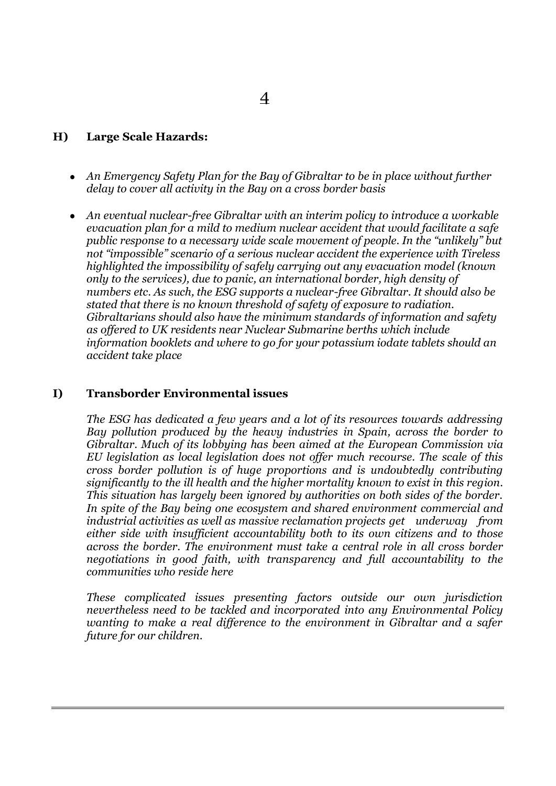#### **H) Large Scale Hazards:**

- *An Emergency Safety Plan for the Bay of Gibraltar to be in place without further delay to cover all activity in the Bay on a cross border basis*
- *An eventual nuclear-free Gibraltar with an interim policy to introduce a workable evacuation plan for a mild to medium nuclear accident that would facilitate a safe public response to a necessary wide scale movement of people. In the "unlikely" but not "impossible" scenario of a serious nuclear accident the experience with Tireless highlighted the impossibility of safely carrying out any evacuation model (known only to the services), due to panic, an international border, high density of numbers etc. As such, the ESG supports a nuclear-free Gibraltar. It should also be stated that there is no known threshold of safety of exposure to radiation. Gibraltarians should also have the minimum standards of information and safety as offered to UK residents near Nuclear Submarine berths which include information booklets and where to go for your potassium iodate tablets should an accident take place*

#### **I) Transborder Environmental issues**

*The ESG has dedicated a few years and a lot of its resources towards addressing Bay pollution produced by the heavy industries in Spain, across the border to Gibraltar. Much of its lobbying has been aimed at the European Commission via EU legislation as local legislation does not offer much recourse. The scale of this cross border pollution is of huge proportions and is undoubtedly contributing significantly to the ill health and the higher mortality known to exist in this region. This situation has largely been ignored by authorities on both sides of the border. In spite of the Bay being one ecosystem and shared environment commercial and industrial activities as well as massive reclamation projects get underway from either side with insufficient accountability both to its own citizens and to those across the border. The environment must take a central role in all cross border negotiations in good faith, with transparency and full accountability to the communities who reside here*

*These complicated issues presenting factors outside our own jurisdiction nevertheless need to be tackled and incorporated into any Environmental Policy wanting to make a real difference to the environment in Gibraltar and a safer future for our children.*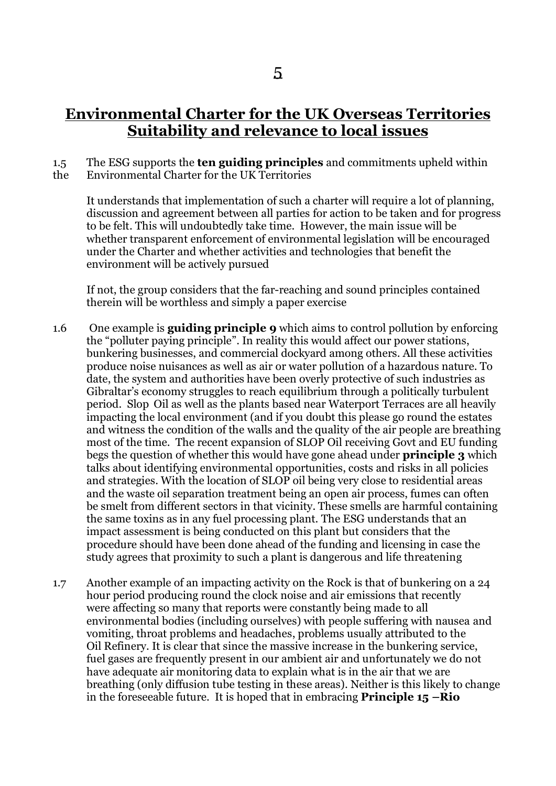## **Environmental Charter for the UK Overseas Territories Suitability and relevance to local issues**

#### 1.5 The ESG supports the **ten guiding principles** and commitments upheld within the Environmental Charter for the UK Territories

It understands that implementation of such a charter will require a lot of planning, discussion and agreement between all parties for action to be taken and for progress to be felt. This will undoubtedly take time. However, the main issue will be whether transparent enforcement of environmental legislation will be encouraged under the Charter and whether activities and technologies that benefit the environment will be actively pursued

If not, the group considers that the far-reaching and sound principles contained therein will be worthless and simply a paper exercise

- 1.6 One example is **guiding principle 9** which aims to control pollution by enforcing the "polluter paying principle". In reality this would affect our power stations, bunkering businesses, and commercial dockyard among others. All these activities produce noise nuisances as well as air or water pollution of a hazardous nature. To date, the system and authorities have been overly protective of such industries as Gibraltar's economy struggles to reach equilibrium through a politically turbulent period. Slop Oil as well as the plants based near Waterport Terraces are all heavily impacting the local environment (and if you doubt this please go round the estates and witness the condition of the walls and the quality of the air people are breathing most of the time. The recent expansion of SLOP Oil receiving Govt and EU funding begs the question of whether this would have gone ahead under **principle 3** which talks about identifying environmental opportunities, costs and risks in all policies and strategies. With the location of SLOP oil being very close to residential areas and the waste oil separation treatment being an open air process, fumes can often be smelt from different sectors in that vicinity. These smells are harmful containing the same toxins as in any fuel processing plant. The ESG understands that an impact assessment is being conducted on this plant but considers that the procedure should have been done ahead of the funding and licensing in case the study agrees that proximity to such a plant is dangerous and life threatening
- 1.7 Another example of an impacting activity on the Rock is that of bunkering on a 24 hour period producing round the clock noise and air emissions that recently were affecting so many that reports were constantly being made to all environmental bodies (including ourselves) with people suffering with nausea and vomiting, throat problems and headaches, problems usually attributed to the Oil Refinery. It is clear that since the massive increase in the bunkering service, fuel gases are frequently present in our ambient air and unfortunately we do not have adequate air monitoring data to explain what is in the air that we are breathing (only diffusion tube testing in these areas). Neither is this likely to change in the foreseeable future. It is hoped that in embracing **Principle 15 –Rio**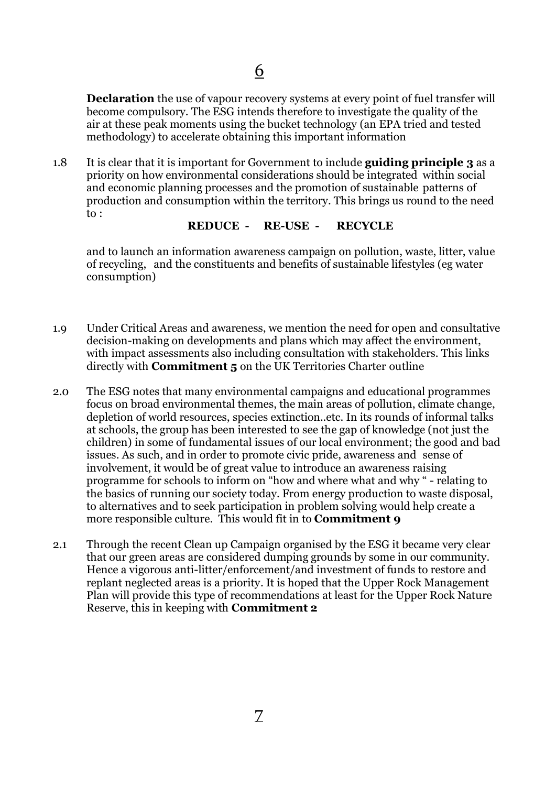**Declaration** the use of vapour recovery systems at every point of fuel transfer will become compulsory. The ESG intends therefore to investigate the quality of the air at these peak moments using the bucket technology (an EPA tried and tested methodology) to accelerate obtaining this important information

1.8 It is clear that it is important for Government to include **guiding principle 3** as a priority on how environmental considerations should be integrated within social and economic planning processes and the promotion of sustainable patterns of production and consumption within the territory. This brings us round to the need to :

#### **REDUCE - RE-USE - RECYCLE**

and to launch an information awareness campaign on pollution, waste, litter, value of recycling, and the constituents and benefits of sustainable lifestyles (eg water consumption)

- 1.9 Under Critical Areas and awareness, we mention the need for open and consultative decision-making on developments and plans which may affect the environment, with impact assessments also including consultation with stakeholders. This links directly with **Commitment 5** on the UK Territories Charter outline
- 2.0 The ESG notes that many environmental campaigns and educational programmes focus on broad environmental themes, the main areas of pollution, climate change, depletion of world resources, species extinction..etc. In its rounds of informal talks at schools, the group has been interested to see the gap of knowledge (not just the children) in some of fundamental issues of our local environment; the good and bad issues. As such, and in order to promote civic pride, awareness and sense of involvement, it would be of great value to introduce an awareness raising programme for schools to inform on "how and where what and why " - relating to the basics of running our society today. From energy production to waste disposal, to alternatives and to seek participation in problem solving would help create a more responsible culture. This would fit in to **Commitment 9**
- 2.1 Through the recent Clean up Campaign organised by the ESG it became very clear that our green areas are considered dumping grounds by some in our community. Hence a vigorous anti-litter/enforcement/and investment of funds to restore and replant neglected areas is a priority. It is hoped that the Upper Rock Management Plan will provide this type of recommendations at least for the Upper Rock Nature Reserve, this in keeping with **Commitment 2**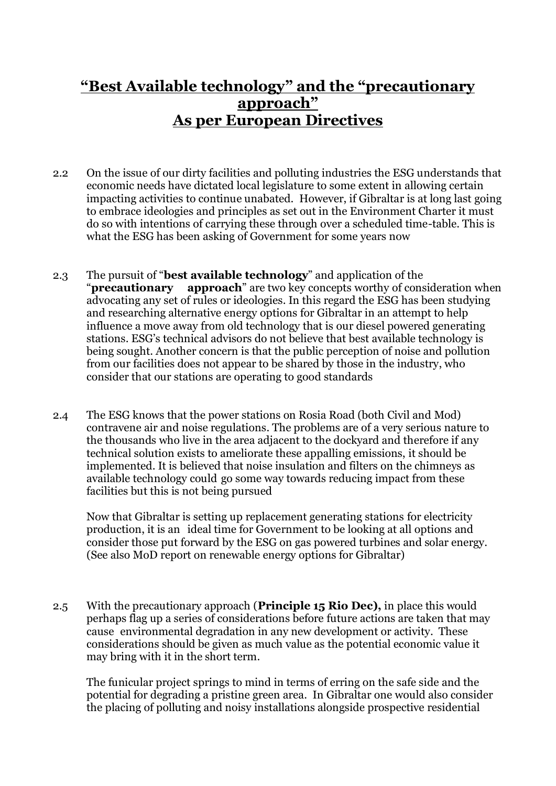# **"Best Available technology" and the "precautionary approach" As per European Directives**

- 2.2 On the issue of our dirty facilities and polluting industries the ESG understands that economic needs have dictated local legislature to some extent in allowing certain impacting activities to continue unabated. However, if Gibraltar is at long last going to embrace ideologies and principles as set out in the Environment Charter it must do so with intentions of carrying these through over a scheduled time-table. This is what the ESG has been asking of Government for some years now
- 2.3 The pursuit of "**best available technology**" and application of the "**precautionary approach**" are two key concepts worthy of consideration when advocating any set of rules or ideologies. In this regard the ESG has been studying and researching alternative energy options for Gibraltar in an attempt to help influence a move away from old technology that is our diesel powered generating stations. ESG's technical advisors do not believe that best available technology is being sought. Another concern is that the public perception of noise and pollution from our facilities does not appear to be shared by those in the industry, who consider that our stations are operating to good standards
- 2.4 The ESG knows that the power stations on Rosia Road (both Civil and Mod) contravene air and noise regulations. The problems are of a very serious nature to the thousands who live in the area adjacent to the dockyard and therefore if any technical solution exists to ameliorate these appalling emissions, it should be implemented. It is believed that noise insulation and filters on the chimneys as available technology could go some way towards reducing impact from these facilities but this is not being pursued

Now that Gibraltar is setting up replacement generating stations for electricity production, it is an ideal time for Government to be looking at all options and consider those put forward by the ESG on gas powered turbines and solar energy. (See also MoD report on renewable energy options for Gibraltar)

2.5 With the precautionary approach (**Principle 15 Rio Dec),** in place this would perhaps flag up a series of considerations before future actions are taken that may cause environmental degradation in any new development or activity. These considerations should be given as much value as the potential economic value it may bring with it in the short term.

The funicular project springs to mind in terms of erring on the safe side and the potential for degrading a pristine green area. In Gibraltar one would also consider the placing of polluting and noisy installations alongside prospective residential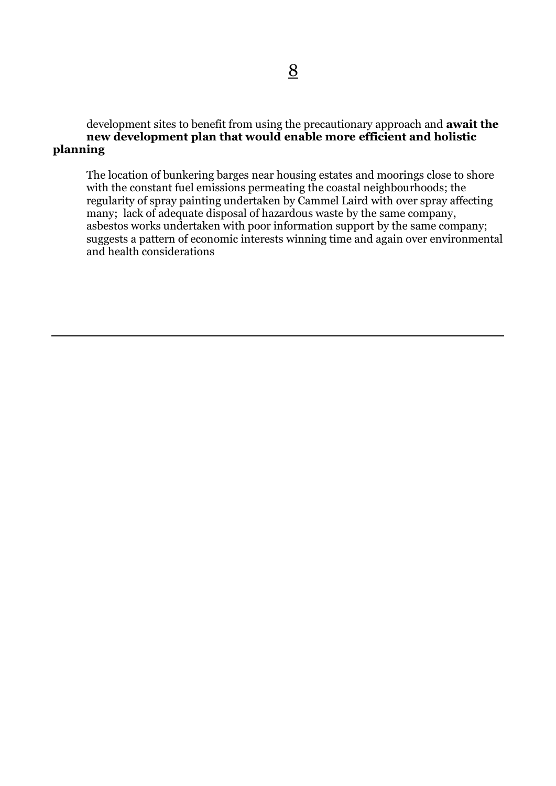development sites to benefit from using the precautionary approach and **await the new development plan that would enable more efficient and holistic planning**

The location of bunkering barges near housing estates and moorings close to shore with the constant fuel emissions permeating the coastal neighbourhoods; the regularity of spray painting undertaken by Cammel Laird with over spray affecting many; lack of adequate disposal of hazardous waste by the same company, asbestos works undertaken with poor information support by the same company; suggests a pattern of economic interests winning time and again over environmental and health considerations